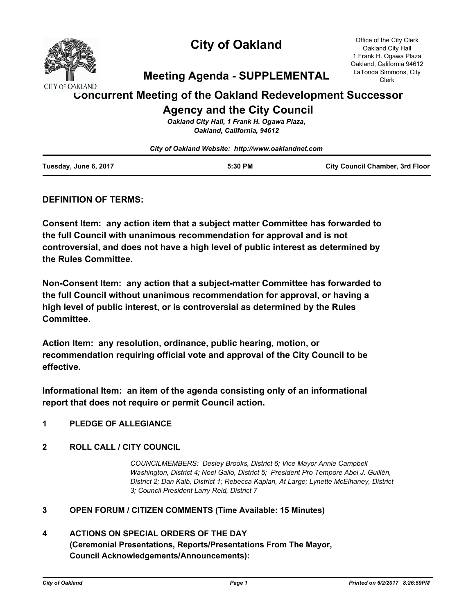

# **City of Oakland**

Office of the City Clerk Oakland City Hall 1 Frank H. Ogawa Plaza Oakland, California 94612 LaTonda Simmons, City Clerk

# **Meeting Agenda - SUPPLEMENTAL**

# **Concurrent Meeting of the Oakland Redevelopment Successor Agency and the City Council**

*Oakland City Hall, 1 Frank H. Ogawa Plaza, Oakland, California, 94612*

|                       | City of Oakland Website: http://www.oaklandnet.com |                                        |
|-----------------------|----------------------------------------------------|----------------------------------------|
| Tuesday, June 6, 2017 | 5:30 PM                                            | <b>City Council Chamber, 3rd Floor</b> |

# **DEFINITION OF TERMS:**

**Consent Item: any action item that a subject matter Committee has forwarded to the full Council with unanimous recommendation for approval and is not controversial, and does not have a high level of public interest as determined by the Rules Committee.**

**Non-Consent Item: any action that a subject-matter Committee has forwarded to the full Council without unanimous recommendation for approval, or having a high level of public interest, or is controversial as determined by the Rules Committee.**

**Action Item: any resolution, ordinance, public hearing, motion, or recommendation requiring official vote and approval of the City Council to be effective.**

**Informational Item: an item of the agenda consisting only of an informational report that does not require or permit Council action.**

# **1 PLEDGE OF ALLEGIANCE**

## **2 ROLL CALL / CITY COUNCIL**

*COUNCILMEMBERS: Desley Brooks, District 6; Vice Mayor Annie Campbell Washington, District 4; Noel Gallo, District 5; President Pro Tempore Abel J. Guillén, District 2; Dan Kalb, District 1; Rebecca Kaplan, At Large; Lynette McElhaney, District 3; Council President Larry Reid, District 7*

### **3 OPEN FORUM / CITIZEN COMMENTS (Time Available: 15 Minutes)**

# **4 ACTIONS ON SPECIAL ORDERS OF THE DAY (Ceremonial Presentations, Reports/Presentations From The Mayor, Council Acknowledgements/Announcements):**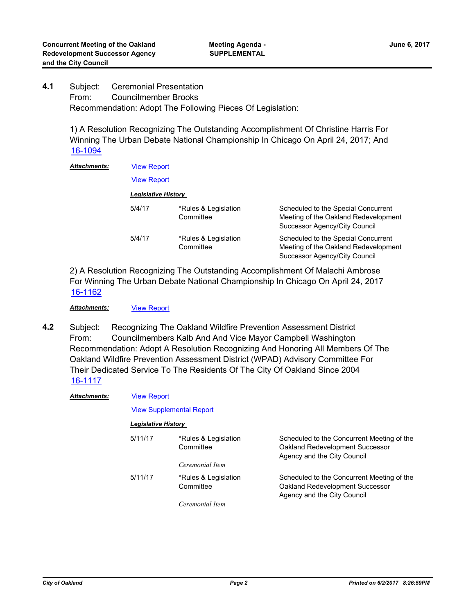Subject: Ceremonial Presentation From: Councilmember Brooks Recommendation: Adopt The Following Pieces Of Legislation: **4.1**

> 1) A Resolution Recognizing The Outstanding Accomplishment Of Christine Harris For Winning The Urban Debate National Championship In Chicago On April 24, 2017; And [16-1094](http://oakland.legistar.com/gateway.aspx?m=l&id=/matter.aspx?key=27641)

| <b>Attachments:</b> |                     | <b>View Report</b>                |                                                                                                              |  |
|---------------------|---------------------|-----------------------------------|--------------------------------------------------------------------------------------------------------------|--|
|                     | <b>View Report</b>  |                                   |                                                                                                              |  |
|                     | Legislative History |                                   |                                                                                                              |  |
|                     | 5/4/17              | *Rules & Legislation<br>Committee | Scheduled to the Special Concurrent<br>Meeting of the Oakland Redevelopment<br>Successor Agency/City Council |  |
|                     | 5/4/17              | *Rules & Legislation<br>Committee | Scheduled to the Special Concurrent<br>Meeting of the Oakland Redevelopment<br>Successor Agency/City Council |  |

2) A Resolution Recognizing The Outstanding Accomplishment Of Malachi Ambrose For Winning The Urban Debate National Championship In Chicago On April 24, 2017 [16-1162](http://oakland.legistar.com/gateway.aspx?m=l&id=/matter.aspx?key=27709)

Attachments: [View Report](http://oakland.legistar.com/gateway.aspx?M=F&ID=3e806acf-40d9-4e8c-8b66-2362bdf2d745.pdf)

Subject: Recognizing The Oakland Wildfire Prevention Assessment District From: Councilmembers Kalb And And Vice Mayor Campbell Washington Recommendation: Adopt A Resolution Recognizing And Honoring All Members Of The Oakland Wildfire Prevention Assessment District (WPAD) Advisory Committee For Their Dedicated Service To The Residents Of The City Of Oakland Since 2004 **4.2** [16-1117](http://oakland.legistar.com/gateway.aspx?m=l&id=/matter.aspx?key=27664)

| <b>Attachments:</b> | <b>View Report</b>  |                                   |                                                                                                              |  |  |
|---------------------|---------------------|-----------------------------------|--------------------------------------------------------------------------------------------------------------|--|--|
|                     |                     | <b>View Supplemental Report</b>   |                                                                                                              |  |  |
|                     | Legislative History |                                   |                                                                                                              |  |  |
|                     | 5/11/17             | *Rules & Legislation<br>Committee | Scheduled to the Concurrent Meeting of the<br>Oakland Redevelopment Successor<br>Agency and the City Council |  |  |
|                     |                     | Ceremonial Item                   |                                                                                                              |  |  |
|                     | 5/11/17             | *Rules & Legislation<br>Committee | Scheduled to the Concurrent Meeting of the<br>Oakland Redevelopment Successor<br>Agency and the City Council |  |  |
|                     |                     | Ceremonial Item                   |                                                                                                              |  |  |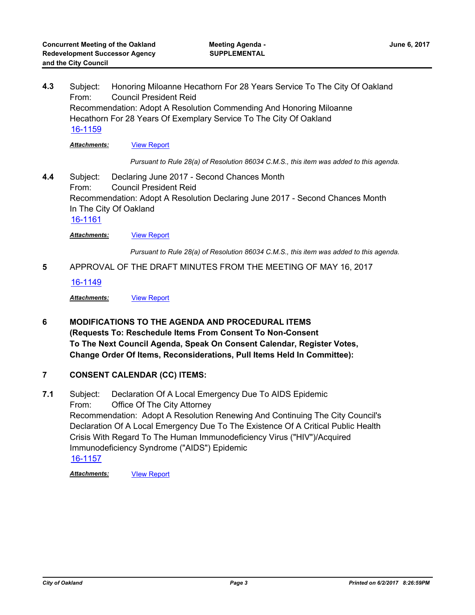Subject: Honoring Miloanne Hecathorn For 28 Years Service To The City Of Oakland From: Council President Reid Recommendation: Adopt A Resolution Commending And Honoring Miloanne Hecathorn For 28 Years Of Exemplary Service To The City Of Oakland **4.3** [16-1159](http://oakland.legistar.com/gateway.aspx?m=l&id=/matter.aspx?key=27706)

**Attachments:** [View Report](http://oakland.legistar.com/gateway.aspx?M=F&ID=30096118-1a98-4dc3-b823-47a3ad26613f.pdf)

*Pursuant to Rule 28(a) of Resolution 86034 C.M.S., this item was added to this agenda.*

Subject: Declaring June 2017 - Second Chances Month From: Council President Reid Recommendation: Adopt A Resolution Declaring June 2017 - Second Chances Month In The City Of Oakland **4.4** [16-1161](http://oakland.legistar.com/gateway.aspx?m=l&id=/matter.aspx?key=27708)

**Attachments:** [View Report](http://oakland.legistar.com/gateway.aspx?M=F&ID=e60a8850-8be6-44f3-8ada-e4260e1d83fe.pdf)

*Pursuant to Rule 28(a) of Resolution 86034 C.M.S., this item was added to this agenda.*

**5** APPROVAL OF THE DRAFT MINUTES FROM THE MEETING OF MAY 16, 2017

[16-1149](http://oakland.legistar.com/gateway.aspx?m=l&id=/matter.aspx?key=27696)

*Attachments:* [View Report](http://oakland.legistar.com/gateway.aspx?M=F&ID=675160d5-1bce-4f17-a659-c6efceb2f865.pdf)

**6 MODIFICATIONS TO THE AGENDA AND PROCEDURAL ITEMS (Requests To: Reschedule Items From Consent To Non-Consent To The Next Council Agenda, Speak On Consent Calendar, Register Votes, Change Order Of Items, Reconsiderations, Pull Items Held In Committee):**

### **7 CONSENT CALENDAR (CC) ITEMS:**

Subject: Declaration Of A Local Emergency Due To AIDS Epidemic From: Office Of The City Attorney Recommendation: Adopt A Resolution Renewing And Continuing The City Council's Declaration Of A Local Emergency Due To The Existence Of A Critical Public Health Crisis With Regard To The Human Immunodeficiency Virus ("HIV")/Acquired Immunodeficiency Syndrome ("AIDS") Epidemic **7.1** [16-1157](http://oakland.legistar.com/gateway.aspx?m=l&id=/matter.aspx?key=27704)

*Attachments:* [VIew Report](http://oakland.legistar.com/gateway.aspx?M=F&ID=52664237-5c62-40c7-a2cc-dfdfa3b1d50d.pdf)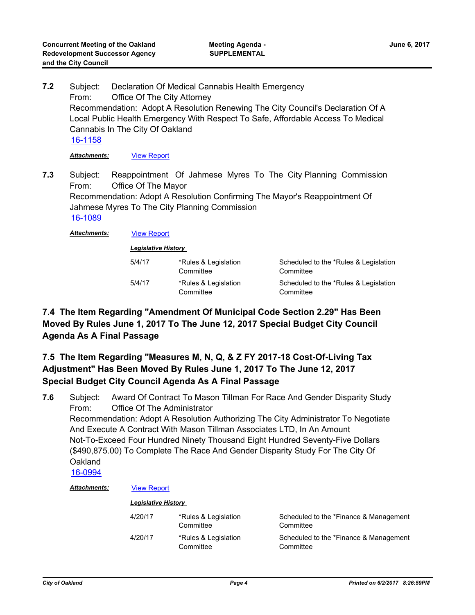Subject: Declaration Of Medical Cannabis Health Emergency From: Office Of The City Attorney Recommendation: Adopt A Resolution Renewing The City Council's Declaration Of A Local Public Health Emergency With Respect To Safe, Affordable Access To Medical Cannabis In The City Of Oakland **7.2** [16-1158](http://oakland.legistar.com/gateway.aspx?m=l&id=/matter.aspx?key=27705) *Attachments:* [View Report](http://oakland.legistar.com/gateway.aspx?M=F&ID=68e6e168-3ef2-4228-a9bb-91eb220aae81.pdf)

Subject: Reappointment Of Jahmese Myres To The City Planning Commission From: Office Of The Mayor Recommendation: Adopt A Resolution Confirming The Mayor's Reappointment Of Jahmese Myres To The City Planning Commission **7.3** [16-1089](http://oakland.legistar.com/gateway.aspx?m=l&id=/matter.aspx?key=27636)

*Attachments:* [View Report](http://oakland.legistar.com/gateway.aspx?M=F&ID=1554a506-8d1c-4ebe-880b-6cab2b327e84.pdf)

| <b>Legislative History</b> |                                   |                                                    |
|----------------------------|-----------------------------------|----------------------------------------------------|
| 5/4/17                     | *Rules & Legislation<br>Committee | Scheduled to the *Rules & Legislation<br>Committee |
| 5/4/17                     | *Rules & Legislation<br>Committee | Scheduled to the *Rules & Legislation<br>Committee |

# **7.4 The Item Regarding "Amendment Of Municipal Code Section 2.29" Has Been Moved By Rules June 1, 2017 To The June 12, 2017 Special Budget City Council Agenda As A Final Passage**

# **7.5 The Item Regarding "Measures M, N, Q, & Z FY 2017-18 Cost-Of-Living Tax Adjustment" Has Been Moved By Rules June 1, 2017 To The June 12, 2017 Special Budget City Council Agenda As A Final Passage**

Subject: Award Of Contract To Mason Tillman For Race And Gender Disparity Study From: Office Of The Administrator Recommendation: Adopt A Resolution Authorizing The City Administrator To Negotiate And Execute A Contract With Mason Tillman Associates LTD, In An Amount Not-To-Exceed Four Hundred Ninety Thousand Eight Hundred Seventy-Five Dollars (\$490,875.00) To Complete The Race And Gender Disparity Study For The City Of **Oakland 7.6** [16-0994](http://oakland.legistar.com/gateway.aspx?m=l&id=/matter.aspx?key=27542)

### *Attachments:* [View Report](http://oakland.legistar.com/gateway.aspx?M=F&ID=9d1066ab-cb5d-465d-882c-35123be31f8c.pdf)

| 4/20/17 | *Rules & Legislation<br>Committee | Scheduled to the *Finance & Management<br>Committee |
|---------|-----------------------------------|-----------------------------------------------------|
| 4/20/17 | *Rules & Legislation<br>Committee | Scheduled to the *Finance & Management<br>Committee |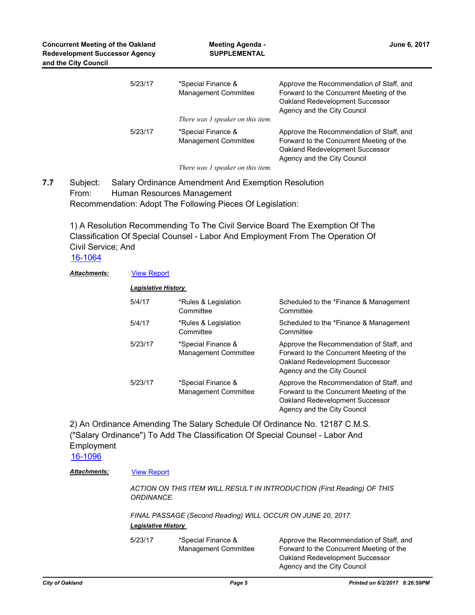| 5/23/17 | *Special Finance &<br><b>Management Committee</b><br>There was 1 speaker on this item. | Approve the Recommendation of Staff, and<br>Forward to the Concurrent Meeting of the<br>Oakland Redevelopment Successor<br>Agency and the City Council |
|---------|----------------------------------------------------------------------------------------|--------------------------------------------------------------------------------------------------------------------------------------------------------|
| 5/23/17 | *Special Finance &<br><b>Management Committee</b><br>There was 1 speaker on this item. | Approve the Recommendation of Staff, and<br>Forward to the Concurrent Meeting of the<br>Oakland Redevelopment Successor<br>Agency and the City Council |

Subject: Salary Ordinance Amendment And Exemption Resolution From: Human Resources Management **7.7**

Recommendation: Adopt The Following Pieces Of Legislation:

1) A Resolution Recommending To The Civil Service Board The Exemption Of The Classification Of Special Counsel - Labor And Employment From The Operation Of Civil Service; And

[16-1064](http://oakland.legistar.com/gateway.aspx?m=l&id=/matter.aspx?key=27611)

### *Attachments:* [View Report](http://oakland.legistar.com/gateway.aspx?M=F&ID=0f29c595-3dd3-4c05-b2c5-b1f474844ced.pdf)

| Legislative History |                                                   |                                                                                                                                                        |
|---------------------|---------------------------------------------------|--------------------------------------------------------------------------------------------------------------------------------------------------------|
| 5/4/17              | *Rules & Legislation<br>Committee                 | Scheduled to the *Finance & Management<br>Committee                                                                                                    |
| 5/4/17              | *Rules & Legislation<br>Committee                 | Scheduled to the *Finance & Management<br>Committee                                                                                                    |
| 5/23/17             | *Special Finance &<br><b>Management Committee</b> | Approve the Recommendation of Staff, and<br>Forward to the Concurrent Meeting of the<br>Oakland Redevelopment Successor<br>Agency and the City Council |
| 5/23/17             | *Special Finance &<br><b>Management Committee</b> | Approve the Recommendation of Staff, and<br>Forward to the Concurrent Meeting of the<br>Oakland Redevelopment Successor<br>Agency and the City Council |

2) An Ordinance Amending The Salary Schedule Of Ordinance No. 12187 C.M.S. ("Salary Ordinance") To Add The Classification Of Special Counsel - Labor And Employment

[16-1096](http://oakland.legistar.com/gateway.aspx?m=l&id=/matter.aspx?key=27643)

### *Attachments:* [View Report](http://oakland.legistar.com/gateway.aspx?M=F&ID=bb395e6d-0c62-49d7-8543-8699bcfdc4c8.pdf)

*ACTION ON THIS ITEM WILL RESULT IN INTRODUCTION (First Reading) OF THIS ORDINANCE.* 

*FINAL PASSAGE (Second Reading) WILL OCCUR ON JUNE 20, 2017. Legislative History* 

| 5/23/17 | *Special Finance &<br><b>Management Committee</b> | Approve the Recommendation of Staff, and<br>Forward to the Concurrent Meeting of the<br>Oakland Redevelopment Successor |
|---------|---------------------------------------------------|-------------------------------------------------------------------------------------------------------------------------|
|         |                                                   | Agency and the City Council                                                                                             |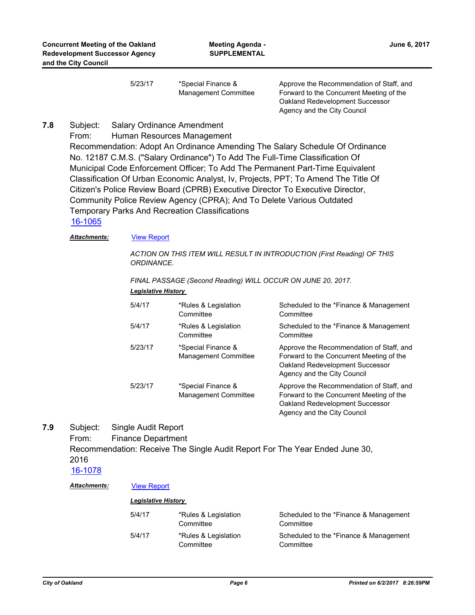5/23/17 \*Special Finance & Management Committee

Approve the Recommendation of Staff, and Forward to the Concurrent Meeting of the Oakland Redevelopment Successor Agency and the City Council

#### Subject: Salary Ordinance Amendment **7.8**

From: Human Resources Management

Recommendation: Adopt An Ordinance Amending The Salary Schedule Of Ordinance No. 12187 C.M.S. ("Salary Ordinance") To Add The Full-Time Classification Of Municipal Code Enforcement Officer; To Add The Permanent Part-Time Equivalent Classification Of Urban Economic Analyst, Iv, Projects, PPT; To Amend The Title Of Citizen's Police Review Board (CPRB) Executive Director To Executive Director, Community Police Review Agency (CPRA); And To Delete Various Outdated Temporary Parks And Recreation Classifications

[16-1065](http://oakland.legistar.com/gateway.aspx?m=l&id=/matter.aspx?key=27612)

### *Attachments:* [View Report](http://oakland.legistar.com/gateway.aspx?M=F&ID=11c8c688-ac1c-4797-826e-24060e621649.pdf)

*ACTION ON THIS ITEM WILL RESULT IN INTRODUCTION (First Reading) OF THIS ORDINANCE.* 

### *FINAL PASSAGE (Second Reading) WILL OCCUR ON JUNE 20, 2017.*

### *Legislative History*

| 5/4/17  | *Rules & Legislation<br>Committee          | Scheduled to the *Finance & Management<br>Committee                                                                                                    |
|---------|--------------------------------------------|--------------------------------------------------------------------------------------------------------------------------------------------------------|
| 5/4/17  | *Rules & Legislation<br>Committee          | Scheduled to the *Finance & Management<br>Committee                                                                                                    |
| 5/23/17 | *Special Finance &<br>Management Committee | Approve the Recommendation of Staff, and<br>Forward to the Concurrent Meeting of the<br>Oakland Redevelopment Successor<br>Agency and the City Council |
| 5/23/17 | *Special Finance &<br>Management Committee | Approve the Recommendation of Staff, and<br>Forward to the Concurrent Meeting of the<br>Oakland Redevelopment Successor<br>Agency and the City Council |

Subject: Single Audit Report **7.9**

From: Finance Department

Recommendation: Receive The Single Audit Report For The Year Ended June 30, 2016

### [16-1078](http://oakland.legistar.com/gateway.aspx?m=l&id=/matter.aspx?key=27625)

### *Attachments:* [View Report](http://oakland.legistar.com/gateway.aspx?M=F&ID=74f5ce1d-b960-459b-87fc-7bb003e6b995.pdf)

| 5/4/17 | *Rules & Legislation<br>Committee | Scheduled to the *Finance & Management<br>Committee |
|--------|-----------------------------------|-----------------------------------------------------|
| 5/4/17 | *Rules & Legislation<br>Committee | Scheduled to the *Finance & Management<br>Committee |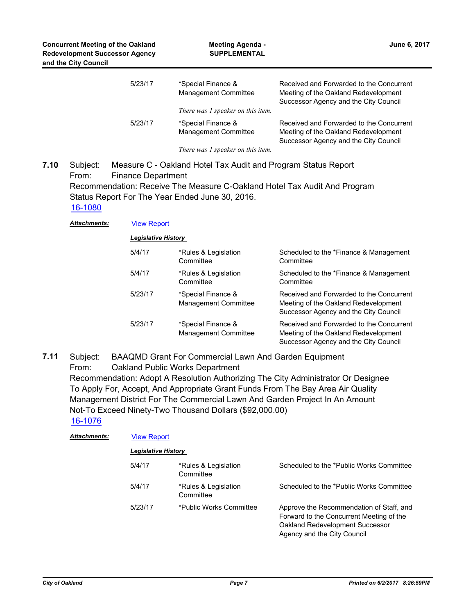| 5/23/17 | *Special Finance &<br><b>Management Committee</b> | Received and Forwarded to the Concurrent<br>Meeting of the Oakland Redevelopment<br>Successor Agency and the City Council |
|---------|---------------------------------------------------|---------------------------------------------------------------------------------------------------------------------------|
|         | There was 1 speaker on this item.                 |                                                                                                                           |
| 5/23/17 | *Special Finance &<br><b>Management Committee</b> | Received and Forwarded to the Concurrent<br>Meeting of the Oakland Redevelopment<br>Successor Agency and the City Council |
|         | There was 1 speaker on this item.                 |                                                                                                                           |

Subject: Measure C - Oakland Hotel Tax Audit and Program Status Report From: Finance Department Recommendation: Receive The Measure C-Oakland Hotel Tax Audit And Program Status Report For The Year Ended June 30, 2016. **7.10** [16-1080](http://oakland.legistar.com/gateway.aspx?m=l&id=/matter.aspx?key=27627)

*Attachments:* [View Report](http://oakland.legistar.com/gateway.aspx?M=F&ID=dd85b5f8-fd45-4db0-9def-9761f576359c.pdf)

| <b>Legislative History</b> |  |
|----------------------------|--|
|                            |  |

| 5/4/17  | *Rules & Legislation<br>Committee          | Scheduled to the *Finance & Management<br>Committee                                                                       |
|---------|--------------------------------------------|---------------------------------------------------------------------------------------------------------------------------|
| 5/4/17  | *Rules & Legislation<br>Committee          | Scheduled to the *Finance & Management<br>Committee                                                                       |
| 5/23/17 | *Special Finance &<br>Management Committee | Received and Forwarded to the Concurrent<br>Meeting of the Oakland Redevelopment<br>Successor Agency and the City Council |
| 5/23/17 | *Special Finance &<br>Management Committee | Received and Forwarded to the Concurrent<br>Meeting of the Oakland Redevelopment<br>Successor Agency and the City Council |

Subject: BAAQMD Grant For Commercial Lawn And Garden Equipment From: Oakland Public Works Department Recommendation: Adopt A Resolution Authorizing The City Administrator Or Designee To Apply For, Accept, And Appropriate Grant Funds From The Bay Area Air Quality Management District For The Commercial Lawn And Garden Project In An Amount Not-To Exceed Ninety-Two Thousand Dollars (\$92,000.00) **7.11** [16-1076](http://oakland.legistar.com/gateway.aspx?m=l&id=/matter.aspx?key=27623)

| <b>Attachments:</b> | <b>View Report</b>  |                                   |                                                                                                                                                        |  |
|---------------------|---------------------|-----------------------------------|--------------------------------------------------------------------------------------------------------------------------------------------------------|--|
|                     | Legislative History |                                   |                                                                                                                                                        |  |
|                     | 5/4/17              | *Rules & Legislation<br>Committee | Scheduled to the *Public Works Committee                                                                                                               |  |
|                     | 5/4/17              | *Rules & Legislation<br>Committee | Scheduled to the *Public Works Committee                                                                                                               |  |
|                     | 5/23/17             | *Public Works Committee           | Approve the Recommendation of Staff, and<br>Forward to the Concurrent Meeting of the<br>Oakland Redevelopment Successor<br>Agency and the City Council |  |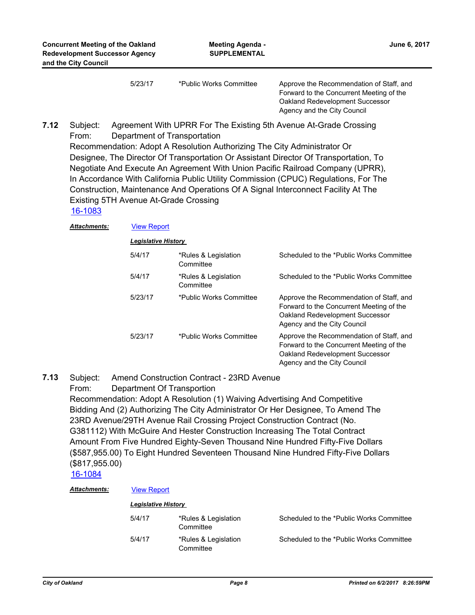5/23/17 \*Public Works Committee Approve the Recommendation of Staff, and Forward to the Concurrent Meeting of the Oakland Redevelopment Successor Agency and the City Council

Subject: Agreement With UPRR For The Existing 5th Avenue At-Grade Crossing From: Department of Transportation Recommendation: Adopt A Resolution Authorizing The City Administrator Or Designee, The Director Of Transportation Or Assistant Director Of Transportation, To Negotiate And Execute An Agreement With Union Pacific Railroad Company (UPRR), In Accordance With California Public Utility Commission (CPUC) Regulations, For The Construction, Maintenance And Operations Of A Signal Interconnect Facility At The Existing 5TH Avenue At-Grade Crossing **7.12**

## [16-1083](http://oakland.legistar.com/gateway.aspx?m=l&id=/matter.aspx?key=27630)

*Attachments:* [View Report](http://oakland.legistar.com/gateway.aspx?M=F&ID=b5168b3c-eca3-4544-8c89-870fd6f19947.pdf)

*Legislative History* 

| 5/4/17  | *Rules & Legislation<br>Committee | Scheduled to the *Public Works Committee                                                                                                               |
|---------|-----------------------------------|--------------------------------------------------------------------------------------------------------------------------------------------------------|
| 5/4/17  | *Rules & Legislation<br>Committee | Scheduled to the *Public Works Committee                                                                                                               |
| 5/23/17 | *Public Works Committee           | Approve the Recommendation of Staff, and<br>Forward to the Concurrent Meeting of the<br>Oakland Redevelopment Successor<br>Agency and the City Council |
| 5/23/17 | *Public Works Committee           | Approve the Recommendation of Staff, and<br>Forward to the Concurrent Meeting of the<br>Oakland Redevelopment Successor<br>Agency and the City Council |

#### Subject: Amend Construction Contract - 23RD Avenue **7.13**

From: Department Of Transportion

Recommendation: Adopt A Resolution (1) Waiving Advertising And Competitive Bidding And (2) Authorizing The City Administrator Or Her Designee, To Amend The 23RD Avenue/29TH Avenue Rail Crossing Project Construction Contract (No. G381112) With McGuire And Hester Construction Increasing The Total Contract Amount From Five Hundred Eighty-Seven Thousand Nine Hundred Fifty-Five Dollars (\$587,955.00) To Eight Hundred Seventeen Thousand Nine Hundred Fifty-Five Dollars (\$817,955.00)

[16-1084](http://oakland.legistar.com/gateway.aspx?m=l&id=/matter.aspx?key=27631)

### *Attachments:* [View Report](http://oakland.legistar.com/gateway.aspx?M=F&ID=f981ffff-85ac-443e-966f-0cc46c7b02f5.pdf)

| <b>Legislative History</b> |                                   |                                          |
|----------------------------|-----------------------------------|------------------------------------------|
| 5/4/17                     | *Rules & Legislation<br>Committee | Scheduled to the *Public Works Committee |
| 5/4/17                     | *Rules & Legislation<br>Committee | Scheduled to the *Public Works Committee |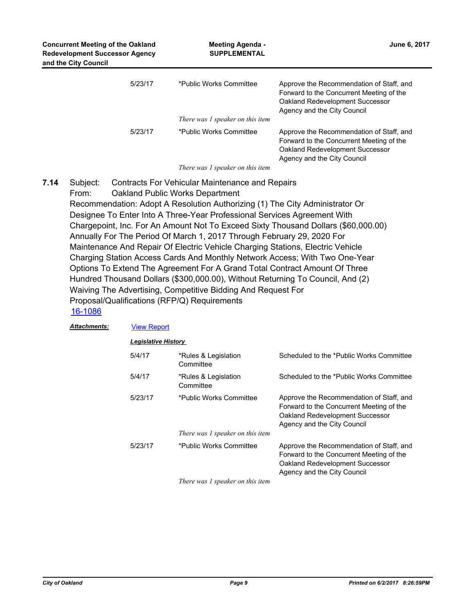| <b>Concurrent Meeting of the Oakland</b><br><b>Redevelopment Successor Agency</b><br>and the City Council | <b>Meeting Agenda -</b><br><b>SUPPLEMENTAL</b> | June 6, 2017                                                                                                                                           |  |
|-----------------------------------------------------------------------------------------------------------|------------------------------------------------|--------------------------------------------------------------------------------------------------------------------------------------------------------|--|
| 5/23/17                                                                                                   | *Public Works Committee                        | Approve the Recommendation of Staff, and<br>Forward to the Concurrent Meeting of the<br>Oakland Redevelopment Successor<br>Agency and the City Council |  |
|                                                                                                           | There was 1 speaker on this item               |                                                                                                                                                        |  |
| 5/23/17                                                                                                   | *Public Works Committee                        | Approve the Recommendation of Staff, and<br>Forward to the Concurrent Meeting of the<br>Oakland Redevelopment Successor<br>Agency and the City Council |  |

*There was 1 speaker on this item*

Subject: Contracts For Vehicular Maintenance and Repairs From: Oakland Public Works Department Recommendation: Adopt A Resolution Authorizing (1) The City Administrator Or Designee To Enter Into A Three-Year Professional Services Agreement With Chargepoint, Inc. For An Amount Not To Exceed Sixty Thousand Dollars (\$60,000.00) Annually For The Period Of March 1, 2017 Through February 29, 2020 For Maintenance And Repair Of Electric Vehicle Charging Stations, Electric Vehicle Charging Station Access Cards And Monthly Network Access; With Two One-Year Options To Extend The Agreement For A Grand Total Contract Amount Of Three Hundred Thousand Dollars (\$300,000.00), Without Returning To Council, And (2) Waiving The Advertising, Competitive Bidding And Request For Proposal/Qualifications (RFP/Q) Requirements **7.14**

### [16-1086](http://oakland.legistar.com/gateway.aspx?m=l&id=/matter.aspx?key=27633)

| Attachments: | <b>View Report</b>         |                                   |                                                                                                                                                        |  |
|--------------|----------------------------|-----------------------------------|--------------------------------------------------------------------------------------------------------------------------------------------------------|--|
|              | <b>Legislative History</b> |                                   |                                                                                                                                                        |  |
|              | 5/4/17                     | *Rules & Legislation<br>Committee | Scheduled to the *Public Works Committee                                                                                                               |  |
|              | 5/4/17                     | *Rules & Legislation<br>Committee | Scheduled to the *Public Works Committee                                                                                                               |  |
|              | 5/23/17                    | *Public Works Committee           | Approve the Recommendation of Staff, and<br>Forward to the Concurrent Meeting of the<br>Oakland Redevelopment Successor<br>Agency and the City Council |  |
|              |                            | There was 1 speaker on this item  |                                                                                                                                                        |  |
|              | 5/23/17                    | *Public Works Committee           | Approve the Recommendation of Staff, and<br>Forward to the Concurrent Meeting of the<br>Oakland Redevelopment Successor<br>Agency and the City Council |  |
|              |                            | There was 1 speaker on this item  |                                                                                                                                                        |  |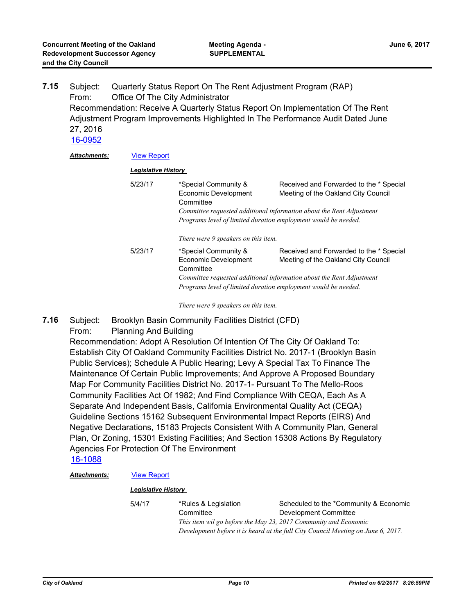| 7.15 | Subject:                                  |                            | Quarterly Status Report On The Rent Adjustment Program (RAP) |                                                                                 |  |
|------|-------------------------------------------|----------------------------|--------------------------------------------------------------|---------------------------------------------------------------------------------|--|
|      | Office Of The City Administrator<br>From: |                            |                                                              |                                                                                 |  |
|      |                                           |                            |                                                              | Recommendation: Receive A Quarterly Status Report On Implementation Of The Rent |  |
|      |                                           |                            |                                                              | Adjustment Program Improvements Highlighted In The Performance Audit Dated June |  |
|      | 27, 2016                                  |                            |                                                              |                                                                                 |  |
|      | 16-0952                                   |                            |                                                              |                                                                                 |  |
|      | <b>Attachments:</b>                       | <b>View Report</b>         |                                                              |                                                                                 |  |
|      |                                           | <b>Legislative History</b> |                                                              |                                                                                 |  |
|      |                                           | 5/23/17                    | *Special Community &                                         | Received and Forwarded to the * Special                                         |  |
|      |                                           |                            | Economic Development                                         | Meeting of the Oakland City Council                                             |  |
|      |                                           |                            | Committee                                                    |                                                                                 |  |
|      |                                           |                            |                                                              | Committee requested additional information about the Rent Adjustment            |  |
|      |                                           |                            |                                                              | Programs level of limited duration employment would be needed.                  |  |
|      |                                           |                            | There were 9 speakers on this item.                          |                                                                                 |  |
|      |                                           | 5/23/17                    | *Special Community &                                         | Received and Forwarded to the * Special                                         |  |
|      |                                           |                            | Economic Development                                         | Meeting of the Oakland City Council                                             |  |
|      |                                           |                            | Committee                                                    |                                                                                 |  |
|      |                                           |                            |                                                              | Committee requested additional information about the Rent Adjustment            |  |

*Programs level of limited duration employment would be needed.*

*There were 9 speakers on this item.*

Subject: Brooklyn Basin Community Facilities District (CFD) **7.16**

From: Planning And Building

Recommendation: Adopt A Resolution Of Intention Of The City Of Oakland To: Establish City Of Oakland Community Facilities District No. 2017-1 (Brooklyn Basin Public Services); Schedule A Public Hearing; Levy A Special Tax To Finance The Maintenance Of Certain Public Improvements; And Approve A Proposed Boundary Map For Community Facilities District No. 2017-1- Pursuant To The Mello-Roos Community Facilities Act Of 1982; And Find Compliance With CEQA, Each As A Separate And Independent Basis, California Environmental Quality Act (CEQA) Guideline Sections 15162 Subsequent Environmental Impact Reports (EIRS) And Negative Declarations, 15183 Projects Consistent With A Community Plan, General Plan, Or Zoning, 15301 Existing Facilities; And Section 15308 Actions By Regulatory Agencies For Protection Of The Environment

[16-1088](http://oakland.legistar.com/gateway.aspx?m=l&id=/matter.aspx?key=27635)

*Attachments:* [View Report](http://oakland.legistar.com/gateway.aspx?M=F&ID=8d6f95eb-966e-43c6-8b5a-3b1e70285f76.pdf)

### *Legislative History*

5/4/17 \*Rules & Legislation **Committee** Scheduled to the \*Community & Economic Development Committee *This item wil go before the May 23, 2017 Community and Economic Development before it is heard at the full City Council Meeting on June 6, 2017.*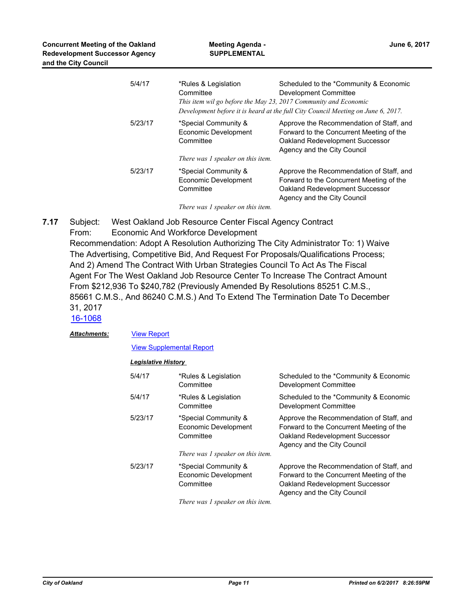| 5/4/17  | *Rules & Legislation<br>Committee<br>This item wil go before the May 23, 2017 Community and Economic | Scheduled to the *Community & Economic<br>Development Committee<br>Development before it is heard at the full City Council Meeting on June 6, 2017.    |
|---------|------------------------------------------------------------------------------------------------------|--------------------------------------------------------------------------------------------------------------------------------------------------------|
| 5/23/17 | *Special Community &<br>Economic Development<br>Committee                                            | Approve the Recommendation of Staff, and<br>Forward to the Concurrent Meeting of the<br>Oakland Redevelopment Successor<br>Agency and the City Council |
|         | There was 1 speaker on this item.                                                                    |                                                                                                                                                        |
| 5/23/17 | *Special Community &<br>Economic Development<br>Committee                                            | Approve the Recommendation of Staff, and<br>Forward to the Concurrent Meeting of the<br>Oakland Redevelopment Successor<br>Agency and the City Council |
|         | There was 1 speaker on this item.                                                                    |                                                                                                                                                        |

Subject: West Oakland Job Resource Center Fiscal Agency Contract From: Economic And Workforce Development Recommendation: Adopt A Resolution Authorizing The City Administrator To: 1) Waive The Advertising, Competitive Bid, And Request For Proposals/Qualifications Process; And 2) Amend The Contract With Urban Strategies Council To Act As The Fiscal Agent For The West Oakland Job Resource Center To Increase The Contract Amount From \$212,936 To \$240,782 (Previously Amended By Resolutions 85251 C.M.S., 85661 C.M.S., And 86240 C.M.S.) And To Extend The Termination Date To December 31, 2017 **7.17**

[16-1068](http://oakland.legistar.com/gateway.aspx?m=l&id=/matter.aspx?key=27615) [View Report](http://oakland.legistar.com/gateway.aspx?M=F&ID=d1ba64cc-499d-4c2e-8ccc-fdfc44ba1c8f.pdf) [View Supplemental Report](http://oakland.legistar.com/gateway.aspx?M=F&ID=701db54e-1da4-405f-8038-ca093bfcdbde.pdf) *Attachments: Legislative History*  5/4/17 \*Rules & Legislation **Committee** Scheduled to the \*Community & Economic Development Committee 5/4/17 \*Rules & Legislation **Committee** Scheduled to the \*Community & Economic Development Committee 5/23/17 \*Special Community & Economic Development **Committee** Approve the Recommendation of Staff, and Forward to the Concurrent Meeting of the Oakland Redevelopment Successor Agency and the City Council *There was 1 speaker on this item.* 5/23/17 \*Special Community & Economic Development **Committee** Approve the Recommendation of Staff, and Forward to the Concurrent Meeting of the Oakland Redevelopment Successor

*There was 1 speaker on this item.*

Agency and the City Council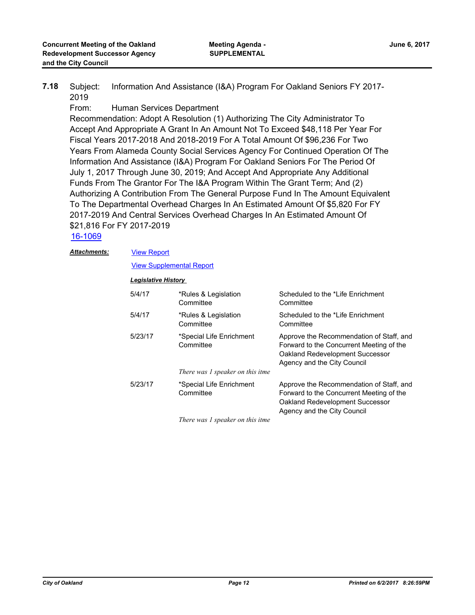Subject: Information And Assistance (I&A) Program For Oakland Seniors FY 2017- 2019 **7.18**

From: Human Services Department

Recommendation: Adopt A Resolution (1) Authorizing The City Administrator To Accept And Appropriate A Grant In An Amount Not To Exceed \$48,118 Per Year For Fiscal Years 2017-2018 And 2018-2019 For A Total Amount Of \$96,236 For Two Years From Alameda County Social Services Agency For Continued Operation Of The Information And Assistance (I&A) Program For Oakland Seniors For The Period Of July 1, 2017 Through June 30, 2019; And Accept And Appropriate Any Additional Funds From The Grantor For The I&A Program Within The Grant Term; And (2) Authorizing A Contribution From The General Purpose Fund In The Amount Equivalent To The Departmental Overhead Charges In An Estimated Amount Of \$5,820 For FY 2017-2019 And Central Services Overhead Charges In An Estimated Amount Of \$21,816 For FY 2017-2019

[16-1069](http://oakland.legistar.com/gateway.aspx?m=l&id=/matter.aspx?key=27616)

[View Report](http://oakland.legistar.com/gateway.aspx?M=F&ID=81e14a0d-9a97-414f-81b5-17957d4cb84a.pdf) *Attachments:*

[View Supplemental Report](http://oakland.legistar.com/gateway.aspx?M=F&ID=a8dc27f3-450b-44b9-be39-5e214f4e007e.pdf)

### *Legislative History*

| 5/4/17  | *Rules & Legislation<br>Committee     | Scheduled to the *Life Enrichment<br>Committee                                                                                                         |
|---------|---------------------------------------|--------------------------------------------------------------------------------------------------------------------------------------------------------|
| 5/4/17  | *Rules & Legislation<br>Committee     | Scheduled to the *Life Enrichment<br>Committee                                                                                                         |
| 5/23/17 | *Special Life Enrichment<br>Committee | Approve the Recommendation of Staff, and<br>Forward to the Concurrent Meeting of the<br>Oakland Redevelopment Successor<br>Agency and the City Council |
|         | There was 1 speaker on this itme      |                                                                                                                                                        |
| 5/23/17 | *Special Life Enrichment<br>Committee | Approve the Recommendation of Staff, and<br>Forward to the Concurrent Meeting of the<br>Oakland Redevelopment Successor<br>Agency and the City Council |

*There was 1 speaker on this itme*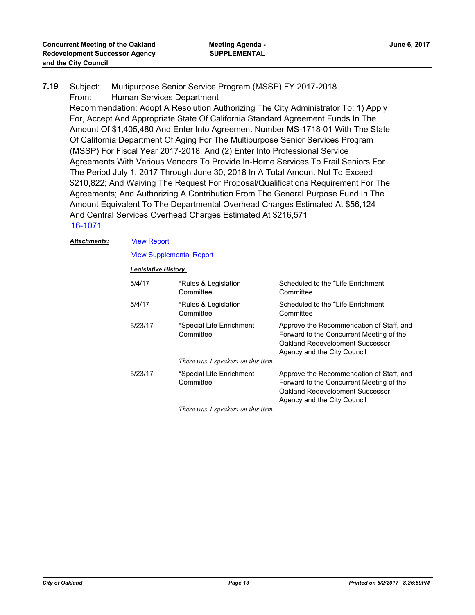## Subject: Multipurpose Senior Service Program (MSSP) FY 2017-2018 From: Human Services Department Recommendation: Adopt A Resolution Authorizing The City Administrator To: 1) Apply For, Accept And Appropriate State Of California Standard Agreement Funds In The Amount Of \$1,405,480 And Enter Into Agreement Number MS-1718-01 With The State Of California Department Of Aging For The Multipurpose Senior Services Program (MSSP) For Fiscal Year 2017-2018; And (2) Enter Into Professional Service Agreements With Various Vendors To Provide In-Home Services To Frail Seniors For The Period July 1, 2017 Through June 30, 2018 In A Total Amount Not To Exceed \$210,822; And Waiving The Request For Proposal/Qualifications Requirement For The Agreements; And Authorizing A Contribution From The General Purpose Fund In The Amount Equivalent To The Departmental Overhead Charges Estimated At \$56,124 And Central Services Overhead Charges Estimated At \$216,571 **7.19** [16-1071](http://oakland.legistar.com/gateway.aspx?m=l&id=/matter.aspx?key=27618)

### *Attachments:*

# [View Report](http://oakland.legistar.com/gateway.aspx?M=F&ID=73d7b49c-c9a3-4c46-b339-9af84ee5126a.pdf)

# [View Supplemental Report](http://oakland.legistar.com/gateway.aspx?M=F&ID=4467b29f-8aef-4df7-9bbe-fb9b2911ffca.pdf)

# *Legislative History*

| 5/4/17  | *Rules & Legislation<br>Committee     | Scheduled to the *Life Enrichment<br>Committee                                                                                                         |
|---------|---------------------------------------|--------------------------------------------------------------------------------------------------------------------------------------------------------|
| 5/4/17  | *Rules & Legislation<br>Committee     | Scheduled to the *Life Enrichment<br>Committee                                                                                                         |
| 5/23/17 | *Special Life Enrichment<br>Committee | Approve the Recommendation of Staff, and<br>Forward to the Concurrent Meeting of the<br>Oakland Redevelopment Successor<br>Agency and the City Council |
|         | There was 1 speakers on this item     |                                                                                                                                                        |
| 5/23/17 | *Special Life Enrichment<br>Committee | Approve the Recommendation of Staff, and<br>Forward to the Concurrent Meeting of the<br>Oakland Redevelopment Successor<br>Agency and the City Council |

*There was 1 speakers on this item*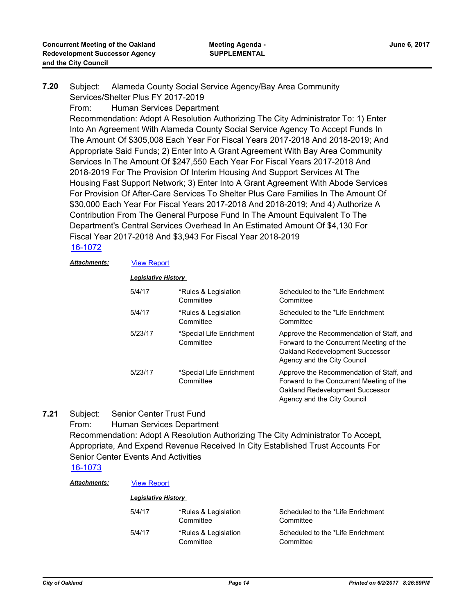## Subject: Alameda County Social Service Agency/Bay Area Community Services/Shelter Plus FY 2017-2019 From: Human Services Department Recommendation: Adopt A Resolution Authorizing The City Administrator To: 1) Enter Into An Agreement With Alameda County Social Service Agency To Accept Funds In The Amount Of \$305,008 Each Year For Fiscal Years 2017-2018 And 2018-2019; And Appropriate Said Funds; 2) Enter Into A Grant Agreement With Bay Area Community Services In The Amount Of \$247,550 Each Year For Fiscal Years 2017-2018 And 2018-2019 For The Provision Of Interim Housing And Support Services At The Housing Fast Support Network; 3) Enter Into A Grant Agreement With Abode Services For Provision Of After-Care Services To Shelter Plus Care Families In The Amount Of \$30,000 Each Year For Fiscal Years 2017-2018 And 2018-2019; And 4) Authorize A Contribution From The General Purpose Fund In The Amount Equivalent To The Department's Central Services Overhead In An Estimated Amount Of \$4,130 For Fiscal Year 2017-2018 And \$3,943 For Fiscal Year 2018-2019 **7.20**

# [16-1072](http://oakland.legistar.com/gateway.aspx?m=l&id=/matter.aspx?key=27619)

### *Attachments:* [View Report](http://oakland.legistar.com/gateway.aspx?M=F&ID=c0924741-34fd-4867-b3b8-de9987d568d4.pdf)

### *Legislative History*

| 5/4/17  | *Rules & Legislation<br>Committee     | Scheduled to the *Life Enrichment<br>Committee                                                                                                         |
|---------|---------------------------------------|--------------------------------------------------------------------------------------------------------------------------------------------------------|
| 5/4/17  | *Rules & Legislation<br>Committee     | Scheduled to the *Life Enrichment<br>Committee                                                                                                         |
| 5/23/17 | *Special Life Enrichment<br>Committee | Approve the Recommendation of Staff, and<br>Forward to the Concurrent Meeting of the<br>Oakland Redevelopment Successor<br>Agency and the City Council |
| 5/23/17 | *Special Life Enrichment<br>Committee | Approve the Recommendation of Staff, and<br>Forward to the Concurrent Meeting of the<br>Oakland Redevelopment Successor<br>Agency and the City Council |

Subject: Senior Center Trust Fund **7.21**

> From: Human Services Department Recommendation: Adopt A Resolution Authorizing The City Administrator To Accept, Appropriate, And Expend Revenue Received In City Established Trust Accounts For Senior Center Events And Activities

## [16-1073](http://oakland.legistar.com/gateway.aspx?m=l&id=/matter.aspx?key=27620)

#### *Attachments:* [View Report](http://oakland.legistar.com/gateway.aspx?M=F&ID=dfef51ad-8501-4fcb-bb22-c1e3c8f467b4.pdf) *Legislative History*  5/4/17 \*Rules & Legislation **Committee** Scheduled to the \*Life Enrichment **Committee** 5/4/17 \*Rules & Legislation **Committee** Scheduled to the \*Life Enrichment **Committee**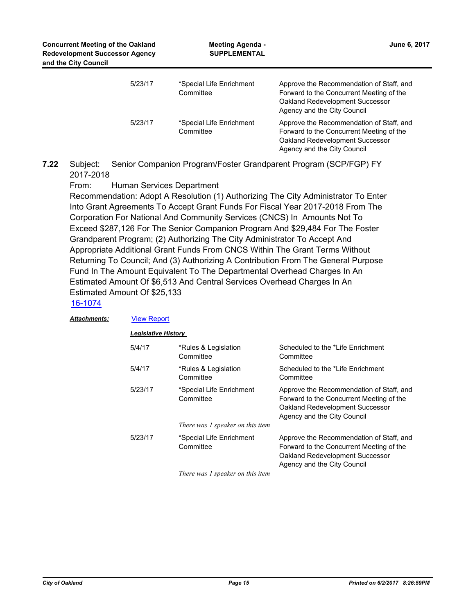| <b>Concurrent Meeting of the Oakland</b><br><b>Redevelopment Successor Agency</b><br>and the City Council | <b>Meeting Agenda -</b><br><b>SUPPLEMENTAL</b> |                                                                                                                                                        |  | June 6, 2017 |  |
|-----------------------------------------------------------------------------------------------------------|------------------------------------------------|--------------------------------------------------------------------------------------------------------------------------------------------------------|--|--------------|--|
| 5/23/17                                                                                                   | *Special Life Enrichment<br>Committee          | Approve the Recommendation of Staff, and<br>Forward to the Concurrent Meeting of the<br>Oakland Redevelopment Successor<br>Agency and the City Council |  |              |  |
| 5/23/17                                                                                                   | *Special Life Enrichment<br>Committee          | Approve the Recommendation of Staff, and<br>Forward to the Concurrent Meeting of the<br>Oakland Redevelopment Successor<br>Agency and the City Council |  |              |  |

Subject: Senior Companion Program/Foster Grandparent Program (SCP/FGP) FY 2017-2018 **7.22**

From: Human Services Department

Recommendation: Adopt A Resolution (1) Authorizing The City Administrator To Enter Into Grant Agreements To Accept Grant Funds For Fiscal Year 2017-2018 From The Corporation For National And Community Services (CNCS) In Amounts Not To Exceed \$287,126 For The Senior Companion Program And \$29,484 For The Foster Grandparent Program; (2) Authorizing The City Administrator To Accept And Appropriate Additional Grant Funds From CNCS Within The Grant Terms Without Returning To Council; And (3) Authorizing A Contribution From The General Purpose Fund In The Amount Equivalent To The Departmental Overhead Charges In An Estimated Amount Of \$6,513 And Central Services Overhead Charges In An Estimated Amount Of \$25,133

# [16-1074](http://oakland.legistar.com/gateway.aspx?m=l&id=/matter.aspx?key=27621)

| <b>Attachments:</b> | <b>View Report</b>         |                                       |                                                                                                                                                        |  |
|---------------------|----------------------------|---------------------------------------|--------------------------------------------------------------------------------------------------------------------------------------------------------|--|
|                     | <b>Legislative History</b> |                                       |                                                                                                                                                        |  |
|                     | 5/4/17                     | *Rules & Legislation<br>Committee     | Scheduled to the *Life Enrichment<br>Committee                                                                                                         |  |
|                     | 5/4/17                     | *Rules & Legislation<br>Committee     | Scheduled to the *Life Enrichment<br>Committee                                                                                                         |  |
|                     | 5/23/17                    | *Special Life Enrichment<br>Committee | Approve the Recommendation of Staff, and<br>Forward to the Concurrent Meeting of the<br>Oakland Redevelopment Successor<br>Agency and the City Council |  |
|                     |                            | There was 1 speaker on this item      |                                                                                                                                                        |  |
|                     | 5/23/17                    | *Special Life Enrichment<br>Committee | Approve the Recommendation of Staff, and<br>Forward to the Concurrent Meeting of the<br>Oakland Redevelopment Successor<br>Agency and the City Council |  |
|                     |                            | There was 1 speaker on this item      |                                                                                                                                                        |  |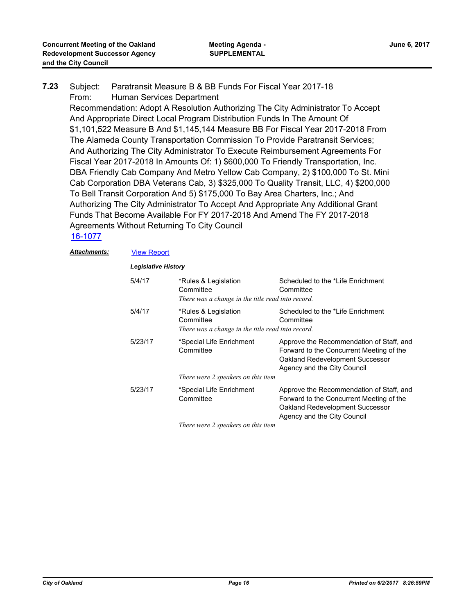Subject: Paratransit Measure B & BB Funds For Fiscal Year 2017-18 From: Human Services Department Recommendation: Adopt A Resolution Authorizing The City Administrator To Accept And Appropriate Direct Local Program Distribution Funds In The Amount Of \$1,101,522 Measure B And \$1,145,144 Measure BB For Fiscal Year 2017-2018 From The Alameda County Transportation Commission To Provide Paratransit Services; And Authorizing The City Administrator To Execute Reimbursement Agreements For Fiscal Year 2017-2018 In Amounts Of: 1) \$600,000 To Friendly Transportation, Inc. DBA Friendly Cab Company And Metro Yellow Cab Company, 2) \$100,000 To St. Mini Cab Corporation DBA Veterans Cab, 3) \$325,000 To Quality Transit, LLC, 4) \$200,000 To Bell Transit Corporation And 5) \$175,000 To Bay Area Charters, Inc.; And Authorizing The City Administrator To Accept And Appropriate Any Additional Grant Funds That Become Available For FY 2017-2018 And Amend The FY 2017-2018 Agreements Without Returning To City Council **7.23**

### [16-1077](http://oakland.legistar.com/gateway.aspx?m=l&id=/matter.aspx?key=27624)

### *Attachments:* [View Report](http://oakland.legistar.com/gateway.aspx?M=F&ID=4b948566-9e93-4b97-85a7-beaba28fd629.pdf)

| 5/4/17  | *Rules & Legislation<br>Committee<br>There was a change in the title read into record. | Scheduled to the *Life Enrichment<br>Committee                                                                                                         |  |  |
|---------|----------------------------------------------------------------------------------------|--------------------------------------------------------------------------------------------------------------------------------------------------------|--|--|
| 5/4/17  | *Rules & Legislation<br>Committee<br>There was a change in the title read into record. | Scheduled to the *Life Enrichment<br>Committee                                                                                                         |  |  |
| 5/23/17 | *Special Life Enrichment<br>Committee<br>There were 2 speakers on this item            | Approve the Recommendation of Staff, and<br>Forward to the Concurrent Meeting of the<br>Oakland Redevelopment Successor<br>Agency and the City Council |  |  |
| 5/23/17 | *Special Life Enrichment<br>Committee                                                  | Approve the Recommendation of Staff, and<br>Forward to the Concurrent Meeting of the<br>Oakland Redevelopment Successor<br>Agency and the City Council |  |  |
|         | There were 2 speakers on this item                                                     |                                                                                                                                                        |  |  |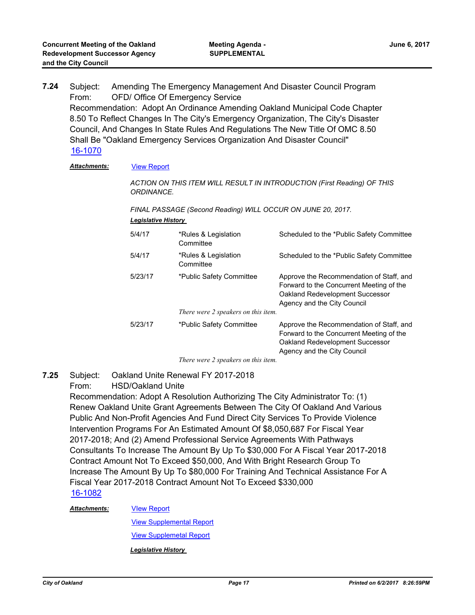Subject: Amending The Emergency Management And Disaster Council Program From: OFD/ Office Of Emergency Service Recommendation: Adopt An Ordinance Amending Oakland Municipal Code Chapter 8.50 To Reflect Changes In The City's Emergency Organization, The City's Disaster Council, And Changes In State Rules And Regulations The New Title Of OMC 8.50 Shall Be "Oakland Emergency Services Organization And Disaster Council" **7.24** [16-1070](http://oakland.legistar.com/gateway.aspx?m=l&id=/matter.aspx?key=27617)

### *Attachments:* [View Report](http://oakland.legistar.com/gateway.aspx?M=F&ID=7eb24dc4-3517-4a1c-a42d-30fb6a4939eb.pdf)

*ACTION ON THIS ITEM WILL RESULT IN INTRODUCTION (First Reading) OF THIS ORDINANCE.* 

*FINAL PASSAGE (Second Reading) WILL OCCUR ON JUNE 20, 2017. Legislative History* 

| 5/4/17  | *Rules & Legislation<br>Committee   | Scheduled to the *Public Safety Committee                                                                                                              |
|---------|-------------------------------------|--------------------------------------------------------------------------------------------------------------------------------------------------------|
| 5/4/17  | *Rules & Legislation<br>Committee   | Scheduled to the *Public Safety Committee                                                                                                              |
| 5/23/17 | *Public Safety Committee            | Approve the Recommendation of Staff, and<br>Forward to the Concurrent Meeting of the<br>Oakland Redevelopment Successor<br>Agency and the City Council |
|         | There were 2 speakers on this item. |                                                                                                                                                        |
| 5/23/17 | *Public Safety Committee            | Approve the Recommendation of Staff, and<br>Forward to the Concurrent Meeting of the<br>Oakland Redevelopment Successor<br>Agency and the City Council |

*There were 2 speakers on this item.*

Subject: Oakland Unite Renewal FY 2017-2018 **7.25**

From: HSD/Oakland Unite

Recommendation: Adopt A Resolution Authorizing The City Administrator To: (1) Renew Oakland Unite Grant Agreements Between The City Of Oakland And Various Public And Non-Profit Agencies And Fund Direct City Services To Provide Violence Intervention Programs For An Estimated Amount Of \$8,050,687 For Fiscal Year 2017-2018; And (2) Amend Professional Service Agreements With Pathways Consultants To Increase The Amount By Up To \$30,000 For A Fiscal Year 2017-2018 Contract Amount Not To Exceed \$50,000, And With Bright Research Group To Increase The Amount By Up To \$80,000 For Training And Technical Assistance For A Fiscal Year 2017-2018 Contract Amount Not To Exceed \$330,000 [16-1082](http://oakland.legistar.com/gateway.aspx?m=l&id=/matter.aspx?key=27629)

### *Attachments:*

[VIew Report](http://oakland.legistar.com/gateway.aspx?M=F&ID=c26c1b69-5b59-403b-930a-f01e393e97cc.pdf)

[View Supplemental Report](http://oakland.legistar.com/gateway.aspx?M=F&ID=c8b1275e-79b6-4c82-a901-811d8cf91158.pdf)

[View Supplemetal Report](http://oakland.legistar.com/gateway.aspx?M=F&ID=28dc7939-1eb2-4144-a12c-bcf0bc08404a.pdf)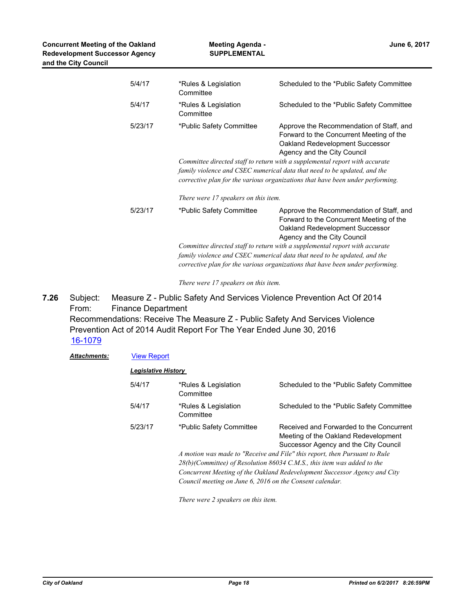| 5/4/17  | *Rules & Legislation<br>Committee                                                                                                                                                                                                         | Scheduled to the *Public Safety Committee                                                                                                                                                                                                                                                                                                                                                           |  |
|---------|-------------------------------------------------------------------------------------------------------------------------------------------------------------------------------------------------------------------------------------------|-----------------------------------------------------------------------------------------------------------------------------------------------------------------------------------------------------------------------------------------------------------------------------------------------------------------------------------------------------------------------------------------------------|--|
| 5/4/17  | *Rules & Legislation<br>Committee                                                                                                                                                                                                         | Scheduled to the *Public Safety Committee                                                                                                                                                                                                                                                                                                                                                           |  |
| 5/23/17 | *Public Safety Committee                                                                                                                                                                                                                  | Approve the Recommendation of Staff, and<br>Forward to the Concurrent Meeting of the<br>Oakland Redevelopment Successor<br>Agency and the City Council<br>Committee directed staff to return with a supplemental report with accurate<br>family violence and CSEC numerical data that need to be updated, and the<br>corrective plan for the various organizations that have been under performing. |  |
|         | There were 17 speakers on this item.                                                                                                                                                                                                      |                                                                                                                                                                                                                                                                                                                                                                                                     |  |
| 5/23/17 | *Public Safety Committee                                                                                                                                                                                                                  | Approve the Recommendation of Staff, and<br>Forward to the Concurrent Meeting of the<br>Oakland Redevelopment Successor<br>Agency and the City Council                                                                                                                                                                                                                                              |  |
|         | Committee directed staff to return with a supplemental report with accurate<br>family violence and CSEC numerical data that need to be updated, and the<br>corrective plan for the various organizations that have been under performing. |                                                                                                                                                                                                                                                                                                                                                                                                     |  |

*There were 17 speakers on this item.*

Subject: Measure Z - Public Safety And Services Violence Prevention Act Of 2014 From: Finance Department Recommendations: Receive The Measure Z - Public Safety And Services Violence Prevention Act of 2014 Audit Report For The Year Ended June 30, 2016 **7.26** [16-1079](http://oakland.legistar.com/gateway.aspx?m=l&id=/matter.aspx?key=27626)

| <b>Attachments:</b> | <b>View Report</b>                                                        |                                                                            |                                                                                                                           |  |
|---------------------|---------------------------------------------------------------------------|----------------------------------------------------------------------------|---------------------------------------------------------------------------------------------------------------------------|--|
|                     | Legislative History                                                       |                                                                            |                                                                                                                           |  |
|                     | 5/4/17                                                                    | *Rules & Legislation<br>Committee                                          | Scheduled to the *Public Safety Committee                                                                                 |  |
|                     | 5/4/17                                                                    | *Rules & Legislation<br>Committee                                          | Scheduled to the *Public Safety Committee                                                                                 |  |
|                     | 5/23/17                                                                   | *Public Safety Committee                                                   | Received and Forwarded to the Concurrent<br>Meeting of the Oakland Redevelopment<br>Successor Agency and the City Council |  |
|                     |                                                                           |                                                                            | A motion was made to "Receive and File" this report, then Pursuant to Rule                                                |  |
|                     |                                                                           | $28(b)$ (Committee) of Resolution 86034 C.M.S., this item was added to the |                                                                                                                           |  |
|                     | Concurrent Meeting of the Oakland Redevelopment Successor Agency and City |                                                                            |                                                                                                                           |  |
|                     |                                                                           |                                                                            | Council meeting on June 6, 2016 on the Consent calendar.                                                                  |  |
|                     |                                                                           | There were 2 speakers on this item.                                        |                                                                                                                           |  |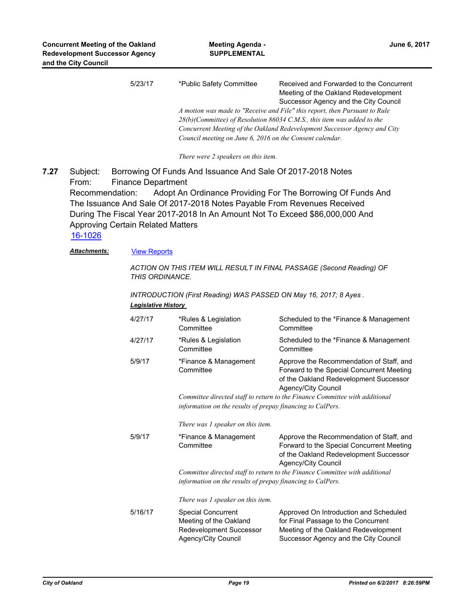| 5/23/17 | *Public Safety Committee                                                   | Received and Forwarded to the Concurrent                                |  |  |
|---------|----------------------------------------------------------------------------|-------------------------------------------------------------------------|--|--|
|         |                                                                            | Meeting of the Oakland Redevelopment                                    |  |  |
|         |                                                                            | Successor Agency and the City Council                                   |  |  |
|         | A motion was made to "Receive and File" this report, then Pursuant to Rule |                                                                         |  |  |
|         |                                                                            | 28(b)(Committee) of Resolution 86034 C.M.S., this item was added to the |  |  |
|         | Concurrent Meeting of the Oakland Redevelopment Successor Agency and City  |                                                                         |  |  |
|         | Council meeting on June 6, 2016 on the Consent calendar.                   |                                                                         |  |  |
|         |                                                                            |                                                                         |  |  |

*There were 2 speakers on this item.*

Subject: Borrowing Of Funds And Issuance And Sale Of 2017-2018 Notes From: Finance Department Recommendation: Adopt An Ordinance Providing For The Borrowing Of Funds And The Issuance And Sale Of 2017-2018 Notes Payable From Revenues Received During The Fiscal Year 2017-2018 In An Amount Not To Exceed \$86,000,000 And Approving Certain Related Matters **7.27**

[16-1026](http://oakland.legistar.com/gateway.aspx?m=l&id=/matter.aspx?key=27573)

Attachments: **[View Reports](http://oakland.legistar.com/gateway.aspx?M=F&ID=0451678d-6256-4038-9da0-83f9c66fbd0d.pdf)** 

*ACTION ON THIS ITEM WILL RESULT IN FINAL PASSAGE (Second Reading) OF THIS ORDINANCE.*

*INTRODUCTION (First Reading) WAS PASSED ON May 16, 2017; 8 Ayes . Legislative History* 

| 4/27/17 | *Rules & Legislation<br>Committee                                                                                                         | Scheduled to the *Finance & Management<br>Committee                                                                                                            |  |  |
|---------|-------------------------------------------------------------------------------------------------------------------------------------------|----------------------------------------------------------------------------------------------------------------------------------------------------------------|--|--|
| 4/27/17 | *Rules & Legislation<br>Committee                                                                                                         | Scheduled to the *Finance & Management<br>Committee                                                                                                            |  |  |
| 5/9/17  | *Finance & Management<br>Committee                                                                                                        | Approve the Recommendation of Staff, and<br>Forward to the Special Concurrent Meeting<br>of the Oakland Redevelopment Successor<br>Agency/City Council         |  |  |
|         | Committee directed staff to return to the Finance Committee with additional<br>information on the results of prepay financing to CalPers. |                                                                                                                                                                |  |  |
|         | There was 1 speaker on this item.                                                                                                         |                                                                                                                                                                |  |  |
| 5/9/17  | *Finance & Management<br>Committee                                                                                                        | Approve the Recommendation of Staff, and<br>Forward to the Special Concurrent Meeting<br>of the Oakland Redevelopment Successor<br>Agency/City Council         |  |  |
|         | Committee directed staff to return to the Finance Committee with additional                                                               |                                                                                                                                                                |  |  |
|         | information on the results of prepay financing to CalPers.                                                                                |                                                                                                                                                                |  |  |
|         | There was 1 speaker on this item.                                                                                                         |                                                                                                                                                                |  |  |
| 5/16/17 | <b>Special Concurrent</b><br>Meeting of the Oakland<br>Redevelopment Successor<br>Agency/City Council                                     | Approved On Introduction and Scheduled<br>for Final Passage to the Concurrent<br>Meeting of the Oakland Redevelopment<br>Successor Agency and the City Council |  |  |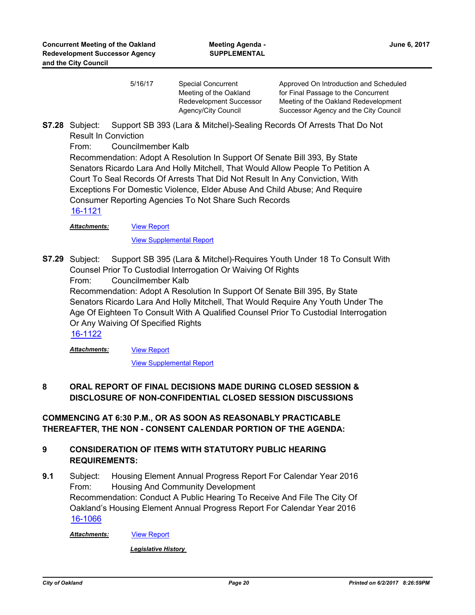5/16/17 Special Concurrent Meeting of the Oakland Redevelopment Successor Agency/City Council Approved On Introduction and Scheduled for Final Passage to the Concurrent Meeting of the Oakland Redevelopment Successor Agency and the City Council

Subject: Support SB 393 (Lara & Mitchel)-Sealing Records Of Arrests That Do Not Result In Conviction **S7.28**

From: Councilmember Kalb

Recommendation: Adopt A Resolution In Support Of Senate Bill 393, By State Senators Ricardo Lara And Holly Mitchell, That Would Allow People To Petition A Court To Seal Records Of Arrests That Did Not Result In Any Conviction, With Exceptions For Domestic Violence, Elder Abuse And Child Abuse; And Require Consumer Reporting Agencies To Not Share Such Records [16-1121](http://oakland.legistar.com/gateway.aspx?m=l&id=/matter.aspx?key=27668)

[View Report](http://oakland.legistar.com/gateway.aspx?M=F&ID=84ec3ce1-8aa8-44f0-b4fc-9c2be68275d2.pdf) *Attachments:*

[View Supplemental Report](http://oakland.legistar.com/gateway.aspx?M=F&ID=f1e529d5-3f9e-4084-b4fe-cab8582c269e.pdf)

Support SB 395 (Lara & Mitchel)-Requires Youth Under 18 To Consult With Counsel Prior To Custodial Interrogation Or Waiving Of Rights From: Councilmember Kalb Recommendation: Adopt A Resolution In Support Of Senate Bill 395, By State Senators Ricardo Lara And Holly Mitchell, That Would Require Any Youth Under The Age Of Eighteen To Consult With A Qualified Counsel Prior To Custodial Interrogation Or Any Waiving Of Specified Rights **S7.29**

[16-1122](http://oakland.legistar.com/gateway.aspx?m=l&id=/matter.aspx?key=27669)

[View Report](http://oakland.legistar.com/gateway.aspx?M=F&ID=faf8a6e9-43d3-4c91-9c3b-08589662492e.pdf) *Attachments:*

[View Supplemental Report](http://oakland.legistar.com/gateway.aspx?M=F&ID=8c723456-be6f-44f1-b1c7-b68aaaaca7cb.pdf)

# **8 ORAL REPORT OF FINAL DECISIONS MADE DURING CLOSED SESSION & DISCLOSURE OF NON-CONFIDENTIAL CLOSED SESSION DISCUSSIONS**

**COMMENCING AT 6:30 P.M., OR AS SOON AS REASONABLY PRACTICABLE THEREAFTER, THE NON - CONSENT CALENDAR PORTION OF THE AGENDA:**

# **9 CONSIDERATION OF ITEMS WITH STATUTORY PUBLIC HEARING REQUIREMENTS:**

Subject: Housing Element Annual Progress Report For Calendar Year 2016 From: Housing And Community Development Recommendation: Conduct A Public Hearing To Receive And File The City Of Oakland's Housing Element Annual Progress Report For Calendar Year 2016 **9.1** [16-1066](http://oakland.legistar.com/gateway.aspx?m=l&id=/matter.aspx?key=27613)

**Attachments: [View Report](http://oakland.legistar.com/gateway.aspx?M=F&ID=799dc4ce-0a53-44e0-890d-7698d3a21b39.pdf)**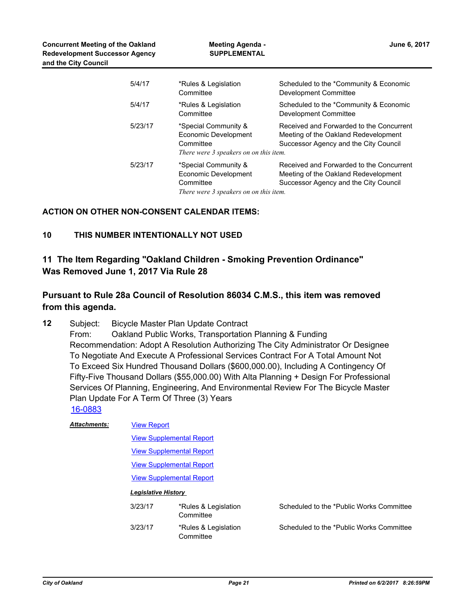| 5/4/17  | *Rules & Legislation<br>Committee                                                                   | Scheduled to the *Community & Economic<br>Development Committee                                                           |
|---------|-----------------------------------------------------------------------------------------------------|---------------------------------------------------------------------------------------------------------------------------|
| 5/4/17  | *Rules & Legislation<br>Committee                                                                   | Scheduled to the *Community & Economic<br>Development Committee                                                           |
| 5/23/17 | *Special Community &<br>Economic Development<br>Committee<br>There were 3 speakers on on this item. | Received and Forwarded to the Concurrent<br>Meeting of the Oakland Redevelopment<br>Successor Agency and the City Council |
| 5/23/17 | *Special Community &<br>Economic Development<br>Committee<br>There were 3 speakers on on this item. | Received and Forwarded to the Concurrent<br>Meeting of the Oakland Redevelopment<br>Successor Agency and the City Council |

### **ACTION ON OTHER NON-CONSENT CALENDAR ITEMS:**

# **10 THIS NUMBER INTENTIONALLY NOT USED**

# **11 The Item Regarding "Oakland Children - Smoking Prevention Ordinance" Was Removed June 1, 2017 Via Rule 28**

# **Pursuant to Rule 28a Council of Resolution 86034 C.M.S., this item was removed from this agenda.**

Subject: Bicycle Master Plan Update Contract From: Oakland Public Works, Transportation Planning & Funding Recommendation: Adopt A Resolution Authorizing The City Administrator Or Designee To Negotiate And Execute A Professional Services Contract For A Total Amount Not To Exceed Six Hundred Thousand Dollars (\$600,000.00), Including A Contingency Of Fifty-Five Thousand Dollars (\$55,000.00) With Alta Planning + Design For Professional Services Of Planning, Engineering, And Environmental Review For The Bicycle Master Plan Update For A Term Of Three (3) Years **12** [16-0883](http://oakland.legistar.com/gateway.aspx?m=l&id=/matter.aspx?key=27431)

| <b>Attachments:</b> | <b>View Report</b>              |                                   |                                          |  |
|---------------------|---------------------------------|-----------------------------------|------------------------------------------|--|
|                     | <b>View Supplemental Report</b> |                                   |                                          |  |
|                     | <b>View Supplemental Report</b> |                                   |                                          |  |
|                     | <b>View Supplemental Report</b> |                                   |                                          |  |
|                     | <b>View Supplemental Report</b> |                                   |                                          |  |
|                     | <b>Legislative History</b>      |                                   |                                          |  |
|                     | 3/23/17                         | *Rules & Legislation<br>Committee | Scheduled to the *Public Works Committee |  |
|                     | 3/23/17                         | *Rules & Legislation<br>Committee | Scheduled to the *Public Works Committee |  |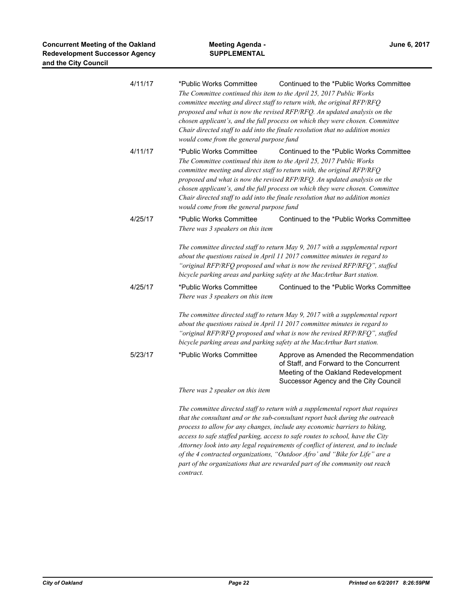| 4/11/17 | *Public Works Committee<br>The Committee continued this item to the April 25, 2017 Public Works<br>committee meeting and direct staff to return with, the original RFP/RFQ<br>would come from the general purpose fund | Continued to the *Public Works Committee<br>proposed and what is now the revised RFP/RFQ. An updated analysis on the<br>chosen applicant's, and the full process on which they were chosen. Committee<br>Chair directed staff to add into the finale resolution that no addition monies                                                                                                                                                                                                              |
|---------|------------------------------------------------------------------------------------------------------------------------------------------------------------------------------------------------------------------------|------------------------------------------------------------------------------------------------------------------------------------------------------------------------------------------------------------------------------------------------------------------------------------------------------------------------------------------------------------------------------------------------------------------------------------------------------------------------------------------------------|
| 4/11/17 | *Public Works Committee<br>The Committee continued this item to the April 25, 2017 Public Works<br>committee meeting and direct staff to return with, the original RFP/RFQ<br>would come from the general purpose fund | Continued to the *Public Works Committee<br>proposed and what is now the revised RFP/RFQ. An updated analysis on the<br>chosen applicant's, and the full process on which they were chosen. Committee<br>Chair directed staff to add into the finale resolution that no addition monies                                                                                                                                                                                                              |
| 4/25/17 | *Public Works Committee<br>There was 3 speakers on this item                                                                                                                                                           | Continued to the *Public Works Committee                                                                                                                                                                                                                                                                                                                                                                                                                                                             |
| 4/25/17 | bicycle parking areas and parking safety at the MacArthur Bart station.<br>*Public Works Committee                                                                                                                     | The committee directed staff to return May 9, 2017 with a supplemental report<br>about the questions raised in April 11 2017 committee minutes in regard to<br>"original RFP/RFQ proposed and what is now the revised RFP/RFQ", staffed<br>Continued to the *Public Works Committee                                                                                                                                                                                                                  |
|         | There was 3 speakers on this item                                                                                                                                                                                      |                                                                                                                                                                                                                                                                                                                                                                                                                                                                                                      |
|         | bicycle parking areas and parking safety at the MacArthur Bart station.                                                                                                                                                | The committee directed staff to return May 9, 2017 with a supplemental report<br>about the questions raised in April 11 2017 committee minutes in regard to<br>"original RFP/RFQ proposed and what is now the revised RFP/RFQ", staffed                                                                                                                                                                                                                                                              |
| 5/23/17 | *Public Works Committee                                                                                                                                                                                                | Approve as Amended the Recommendation<br>of Staff, and Forward to the Concurrent<br>Meeting of the Oakland Redevelopment<br>Successor Agency and the City Council                                                                                                                                                                                                                                                                                                                                    |
|         | There was 2 speaker on this item                                                                                                                                                                                       |                                                                                                                                                                                                                                                                                                                                                                                                                                                                                                      |
|         |                                                                                                                                                                                                                        | The committee directed staff to return with a supplemental report that requires<br>that the consultant and or the sub-consultant report back during the outreach<br>process to allow for any changes, include any economic barriers to biking,<br>access to safe staffed parking, access to safe routes to school, have the City<br>Attorney look into any legal requirements of conflict of interest, and to include<br>of the 4 contracted organizations, "Outdoor Afro' and "Bike for Life" are a |

*part of the organizations that are rewarded part of the community out reach contract.*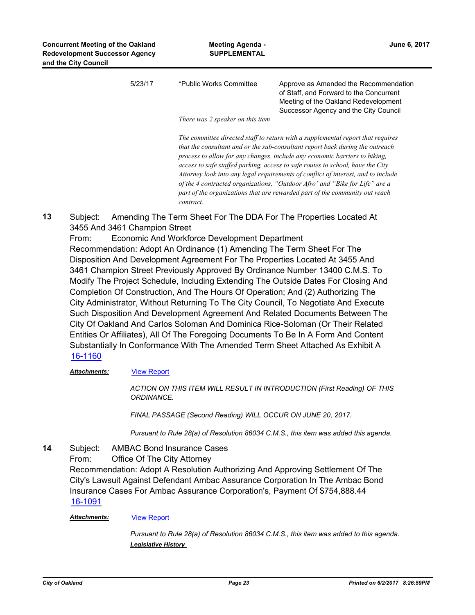| 5/23/17 | *Public Works Committee          | Approve as Amended the Recommendation                                           |  |  |  |
|---------|----------------------------------|---------------------------------------------------------------------------------|--|--|--|
|         |                                  | of Staff, and Forward to the Concurrent                                         |  |  |  |
|         |                                  | Meeting of the Oakland Redevelopment                                            |  |  |  |
|         |                                  | Successor Agency and the City Council                                           |  |  |  |
|         | There was 2 speaker on this item |                                                                                 |  |  |  |
|         |                                  | The committee directed staff to return with a supplemental report that requires |  |  |  |
|         |                                  |                                                                                 |  |  |  |

*that the consultant and or the sub-consultant report back during the outreach process to allow for any changes, include any economic barriers to biking, access to safe staffed parking, access to safe routes to school, have the City Attorney look into any legal requirements of conflict of interest, and to include of the 4 contracted organizations, "Outdoor Afro' and "Bike for Life" are a part of the organizations that are rewarded part of the community out reach contract.*

Subject: Amending The Term Sheet For The DDA For The Properties Located At 3455 And 3461 Champion Street **13**

From: Economic And Workforce Development Department Recommendation: Adopt An Ordinance (1) Amending The Term Sheet For The Disposition And Development Agreement For The Properties Located At 3455 And 3461 Champion Street Previously Approved By Ordinance Number 13400 C.M.S. To Modify The Project Schedule, Including Extending The Outside Dates For Closing And Completion Of Construction, And The Hours Of Operation; And (2) Authorizing The City Administrator, Without Returning To The City Council, To Negotiate And Execute Such Disposition And Development Agreement And Related Documents Between The City Of Oakland And Carlos Soloman And Dominica Rice-Soloman (Or Their Related Entities Or Affiliates), All Of The Foregoing Documents To Be In A Form And Content Substantially In Conformance With The Amended Term Sheet Attached As Exhibit A [16-1160](http://oakland.legistar.com/gateway.aspx?m=l&id=/matter.aspx?key=27707)

### Attachments: **[View Report](http://oakland.legistar.com/gateway.aspx?M=F&ID=b531ed91-5a5d-45a7-a479-66c2adff2d28.pdf)**

*ACTION ON THIS ITEM WILL RESULT IN INTRODUCTION (First Reading) OF THIS ORDINANCE.* 

*FINAL PASSAGE (Second Reading) WILL OCCUR ON JUNE 20, 2017.*

*Pursuant to Rule 28(a) of Resolution 86034 C.M.S., this item was added this agenda.*

Subject: AMBAC Bond Insurance Cases From: Office Of The City Attorney Recommendation: Adopt A Resolution Authorizing And Approving Settlement Of The City's Lawsuit Against Defendant Ambac Assurance Corporation In The Ambac Bond Insurance Cases For Ambac Assurance Corporation's, Payment Of \$754,888.44 **14** [16-1091](http://oakland.legistar.com/gateway.aspx?m=l&id=/matter.aspx?key=27638)

### *Attachments:* [View Report](http://oakland.legistar.com/gateway.aspx?M=F&ID=a8f40410-40d7-4432-9a8e-1a6d9d1fe4af.pdf)

*Pursuant to Rule 28(a) of Resolution 86034 C.M.S., this item was added to this agenda. Legislative History*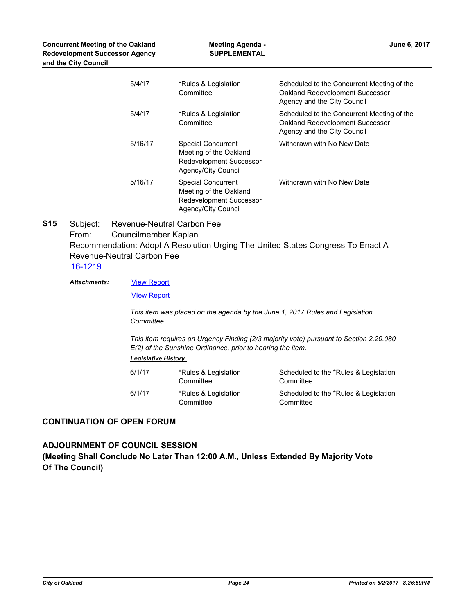| 5/4/17  | *Rules & Legislation<br>Committee                                                                            | Scheduled to the Concurrent Meeting of the<br>Oakland Redevelopment Successor<br>Agency and the City Council |
|---------|--------------------------------------------------------------------------------------------------------------|--------------------------------------------------------------------------------------------------------------|
| 5/4/17  | *Rules & Legislation<br>Committee                                                                            | Scheduled to the Concurrent Meeting of the<br>Oakland Redevelopment Successor<br>Agency and the City Council |
| 5/16/17 | <b>Special Concurrent</b><br>Meeting of the Oakland<br><b>Redevelopment Successor</b><br>Agency/City Council | Withdrawn with No New Date                                                                                   |
| 5/16/17 | <b>Special Concurrent</b><br>Meeting of the Oakland<br><b>Redevelopment Successor</b><br>Agency/City Council | Withdrawn with No New Date                                                                                   |

Subject: Revenue-Neutral Carbon Fee From: Councilmember Kaplan Recommendation: Adopt A Resolution Urging The United States Congress To Enact A Revenue-Neutral Carbon Fee **S15** [16-1219](http://oakland.legistar.com/gateway.aspx?m=l&id=/matter.aspx?key=27765)

[View Report](http://oakland.legistar.com/gateway.aspx?M=F&ID=4e3b0f36-3bfa-42ac-a2b4-9133491d02e4.pdf) *Attachments:*

[VIew Report](http://oakland.legistar.com/gateway.aspx?M=F&ID=1dfb3f38-c394-4c3e-9215-49dd0b24e6b9.pdf)

*This item was placed on the agenda by the June 1, 2017 Rules and Legislation Committee.* 

*This item requires an Urgency Finding (2/3 majority vote) pursuant to Section 2.20.080 E(2) of the Sunshine Ordinance, prior to hearing the item. Legislative History* 

| 6/1/17 | *Rules & Legislation<br>Committee | Scheduled to the *Rules & Legislation<br>Committee |
|--------|-----------------------------------|----------------------------------------------------|
| 6/1/17 | *Rules & Legislation<br>Committee | Scheduled to the *Rules & Legislation<br>Committee |

### **CONTINUATION OF OPEN FORUM**

# **ADJOURNMENT OF COUNCIL SESSION (Meeting Shall Conclude No Later Than 12:00 A.M., Unless Extended By Majority Vote Of The Council)**